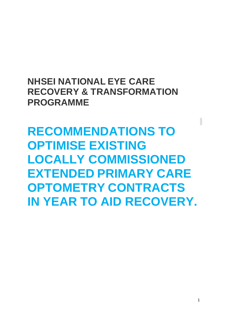## **NHSEI NATIONAL EYE CARE RECOVERY & TRANSFORMATION PROGRAMME**

**RECOMMENDATIONS TO OPTIMISE EXISTING LOCALLY COMMISSIONED EXTENDED PRIMARY CARE OPTOMETRY CONTRACTS IN YEAR TO AID RECOVERY.**

 $\overline{\phantom{a}}$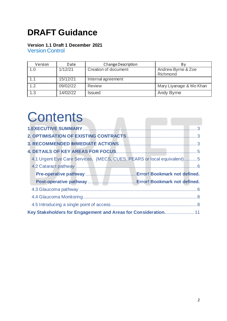## **DRAFT Guidance**

### **Version 1.1 Draft 1 December 2021**

Version Control

| Version | Date     | <b>Change Description</b> |                                |
|---------|----------|---------------------------|--------------------------------|
| 1.0     | 1/12/21  | Creation of document      | Andrew Byrne & Zoe<br>Richmond |
| 1.1     | 15/12/21 | Internal agreement        |                                |
| 1.2     | 09/02/22 | <b>Review</b>             | Mary Liyanage & Mo Khan        |
| 1.3     | 14/02/22 | <b>Issued</b>             | <b>Andy Byrne</b>              |

# **Contents**

| 4.1 Urgent Eye Care Services. (MECS, CUES, PEARS or local equivalent) 5 |  |
|-------------------------------------------------------------------------|--|
|                                                                         |  |
|                                                                         |  |
|                                                                         |  |
|                                                                         |  |
|                                                                         |  |
|                                                                         |  |
| Key Stakeholders for Engagement and Areas for Consideration 11          |  |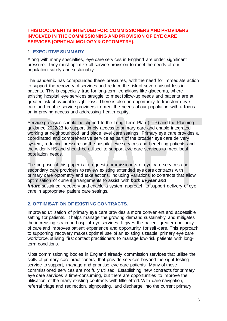#### **THIS DOCUMENT IS INTENDED FOR: COMMISSIONERS AND PROVIDERS INVOLVED IN THE COMMISSIONING AND PROVISION OF EYE CARE SERVICES (OPHTHALMOLOGY & OPTOMETRY).**

#### <span id="page-2-0"></span>1. **EXECUTIVE SUMMARY**

Along with many specialties, eye care services in England are under significant pressure. They must optimize all service provision to meet the needs of our population safely and sustainably.

The pandemic has compounded these pressures, with the need for immediate action to support the recovery of services and reduce the risk of severe visual loss in patients. This is especially true for long-term conditions like glaucoma, where existing hospital eye services struggle to meet follow-up needs and patients are at greater risk of avoidable sight loss. There is also an opportunity to transform eye care and enable service providers to meet the needs of our population with a focus on improving access and addressing health equity.

Service provision should be aligned to the Long-Term Plan (LTP) and the Planning guidance 2022/23 to support timely access to primary care and enable integrated working at neighbourhood and place level care settings. Primary eye care provides a coordinated and comprehensive service as part of the broader eye care delivery system, reducing pressure on the hospital eye services and benefiting patients and the wider NHS and should be utilised to support eye care services to meet local population needs.

The purpose of this paper is to request commissioners of eye care services and secondary care providers to review existing extended eye care contracts with primary care optometry and take actions, including variations to contracts that allow optimisation of current arrangements to assist with *both in-year and future* sustained recovery and enable a system approach to support delivery of eye care in appropriate patient care settings.

#### <span id="page-2-1"></span>**2. OPTIMISATION OF EXISTING CONTRACTS.**

<span id="page-2-2"></span>Improved utilisation of primary eye care provides a more convenient and accessible setting for patients. It helps manage the growing demand sustainably and mitigates the increasing strain on hospital eye services. It gives the patient greater continuity of care and improves patient experience and opportunity for self-care. This approach to supporting recovery makes optimal use of an existing sizeable primary eye care workforce, utilising first contact practitioners to manage low-risk patients with longterm conditions.

Most commissioning bodies in England already commission services that utilise the skills of primary care practitioners, that provide services beyond the sight testing service to support, manage and prioritise eye care patients. Many of these commissioned services are not fully utilised. Establishing new contracts for primary eye care services is time-consuming, but there are opportunities to improve the utilisation of the many existing contracts with little effort. With care navigation, referral triage and redirection, signposting, and discharge into the current primary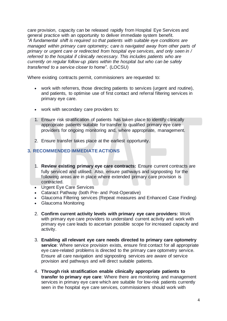care provision, capacity can be released rapidly from Hospital Eye Services and general practice with an opportunity to deliver immediate system benefit. *"A fundamental shift is required so that patients with suitable eye conditions are managed within primary care optometry; care is navigated away from other parts of primary or urgent care or redirected from hospital eye services, and only seen in / referred to the hospital if clinically necessary. This includes patients who are currently on regular follow-up plans within the hospital but who can be safely transferred to a service closer to home"*. (LOCSU)

Where existing contracts permit, commissioners are requested to:

- work with referrers, those directing patients to services (urgent and routine), and patients, to optimise use of first contact and referral filtering services in primary eye care.
- work with secondary care providers to:
- 1. Ensure risk stratification of patients has taken place to identify clinically appropriate patients suitable for transfer to qualified primary eye care providers for ongoing monitoring and, where appropriate, management.
- 2. Ensure transfer takes place at the earliest opportunity.

#### **3. RECOMMENDED IMMEDIATE ACTIONS**

- 1. **Review existing primary eye care contracts:** Ensure current contracts are fully serviced and utilised. Also, ensure pathways and signposting for the following areas are in place where extended primary care provision is contracted.
- Urgent Eye Care Services
- Cataract Pathway (both Pre- and Post-Operative)
- Glaucoma Filtering services (Repeat measures and Enhanced Case Finding)
- Glaucoma Monitoring
- 2. **Confirm current activity levels with primary eye care providers:** Work with primary eye care providers to understand current activity and work with primary eye care leads to ascertain possible scope for increased capacity and activity.
- 3. **Enabling all relevant eye care needs directed to primary care optometry service**: Where service provision exists, ensure first contact for all appropriate eye care-related problems is directed to the primary care optometry service. Ensure all care navigation and signposting services are aware of service provision and pathways and will direct suitable patients.
- 4. **Through risk stratification enable clinically appropriate patients to transfer to primary eye care**: Where there are monitoring and management services in primary eye care which are suitable for low-risk patients currently seen in the hospital eye care services, commissioners should work with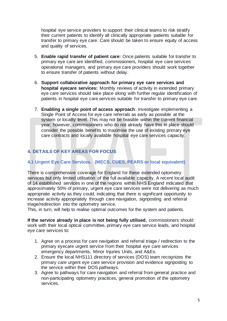hospital eye service providers to support their clinical teams to risk stratify their current patients to identify all clinically appropriate patients suitable for transfer to primary eye care. Care should be taken to ensure equity of access and quality of services.

- 5. **Enable rapid transfer of patient care:** Once patients suitable for transfer to primary eye care are identified, commissioners, hospital eye care services operational managers, and primary eye care providers should work together to ensure transfer of patients without delay.
- 6. **Support collaborative approach for primary eye care services and hospital eyecare services:** Monthly reviews of activity in extended primary eye care services should take place along with further regular identification of patients in hospital eye care services suitable for transfer to primary eye care.
- 7. **Enabling a single point of access approach**: Investigate implementing a Single Point of Access for eye care referrals as early as possible at the system or locality level. This may not be feasible within the current financial year; however, commissioners who do not already have this in place should consider the possible benefits to maximise the use of existing primary eye care contracts and locally available hospital eye care services capacity.

#### <span id="page-4-1"></span><span id="page-4-0"></span>**4. DETAILS OF KEY AREAS FOR FOCUS**

#### **4.1 Urgent Eye Care Services. (MECS, CUES, PEARS or local equivalent)**

There is comprehensive coverage for England for these extended optometry services but only limited utilisation of the full available capacity. A recent local audit of 14 established services in one of the regions within NHS England indicated that approximately 50% of primary, urgent eye care services were not delivering as much appropriate activity as they could, indicating that there is significant opportunity to increase activity appropriately through care navigation, signposting and referral triage/redirection into the optometry service.

This, in turn, will help to realise optimal outcomes for the system and patients.

**If the service already in place is not being fully utilised**, commissioners should work with their local optical committee, primary eye care service leads, and hospital eye care services to:

- 1. Agree on a process for care navigation and referral triage / redirection to the primary eyecare urgent service from their hospital eye care services emergency departments, Minor Injuries Units, and A&Es.
- 2. Ensure the local NHS111 directory of services (DOS) team recognizes the primary care urgent eye care service provision and evidence signposting to the service within their DOS pathways.
- 3. Agree to pathways for care navigation and referral from general practice and non-participating optometry practices, general promotion of the optometry services.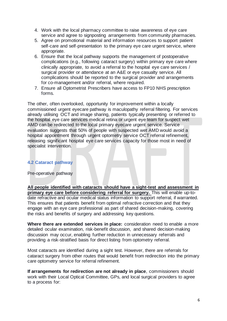- 4. Work with the local pharmacy committee to raise awareness of eye care service and agree to signposting arrangements from community pharmacies.
- 5. Agree on promotional material and information resources to support patient self-care and self-presentation to the primary eye care urgent service, where appropriate.
- 6. Ensure that the local pathway supports the management of postoperative complications (e.g., following cataract surgery) within primary eye care where clinically appropriate, to avoid a referral to the hospital eye care services / surgical provider or attendance at an A&E or eye casualty service. All complications should be reported to the surgical provider and arrangements for co-management and/or referral, where required.
- 7. Ensure all Optometrist Prescribers have access to FP10 NHS prescription forms.

The other, often overlooked, opportunity for improvement within a locally commissioned urgent eyecare pathway is maculopathy referral filtering. For services already utilising OCT and image sharing, patients typically presenting or referred to the hospital eye care services medical retina or urgent eye team for suspect wet AMD can be redirected to the local primary eyecare urgent service. Service evaluation suggests that 50% of people with suspected wet AMD would avoid a hospital appointment through urgent optometry service OCT referral refinement, releasing significant hospital eye care services capacity for those most in need of specialist intervention.

#### <span id="page-5-0"></span>**4.2 Cataract pathway**

<span id="page-5-1"></span>Pre-operative pathway

**All people identified with cataracts should have a sight-test and assessment in primary eye care before considering referral for surgery.** This will enable up-todate refractive and ocular medical status information to support referral, if warranted. This ensures that patients benefit from optimal refractive correction and that they engage with an eye care professional as part of shared decision-making, covering the risks and benefits of surgery and addressing key questions.

**Where there are extended services in place:** consideration need to enable a more detailed ocular examination, risk-benefit discussion, and shared decision-making discussion may occur, enabling further reduction in unnecessary referrals and providing a risk-stratified basis for direct listing from optometry referral.

Most cataracts are identified during a sight test. However, there are referrals for cataract surgery from other routes that would benefit from redirection into the primary care optometry service for referral refinement.

**If arrangements for redirection are not already in place**, commissioners should work with their Local Optical Committee, GPs, and local surgical providers to agree to a process for: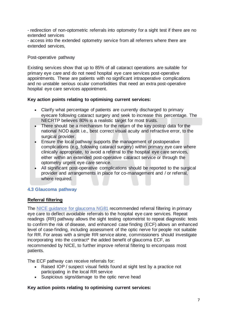- redirection of non-optometric referrals into optometry for a sight test if there are no extended services

- access into the extended optometry service from all referrers where there are extended services,

#### Post-operative pathway

Existing services show that up to 85% of all cataract operations are suitable for primary eye care and do not need hospital eye care services post-operative appointments. These are patients with no significant intraoperative complications and no unstable serious ocular comorbidities that need an extra post-operative hospital eye care services appointment.

#### **Key action points relating to optimising current services:**

- Clarify what percentage of patients are currently discharged to primary eyecare following cataract surgery and seek to increase this percentage. The NECRTP believes 80% is a realistic target for most trusts.
- There should be a mechanism for the return of the key postop data for the national NOD audit i.e., best correct visual acuity and refractive error, to the surgical provider.
- Ensure the local pathway supports the management of postoperative complications (e.g. following cataract surgery) within primary eye care where clinically appropriate, to avoid a referral to the hospital eye care services, either within an extended post-operative cataract service or through the optometry urgent eye care service.
- All significant post-operative complications should be reported to the surgical provider and arrangements in place for co-management and / or referral, where required.

#### **4.3 Glaucoma pathway**

#### **Referral filtering**

The [NICE guidance for glaucoma NG81](https://www.nice.org.uk/guidance/ng81/chapter/Recommendations#case-finding) recommended referral filtering in primary eye care to deflect avoidable referrals to the hospital eye care services. Repeat readings (RR) pathway allows the sight testing optometrist to repeat diagnostic tests to confirm the risk of disease, and enhanced case finding (ECF) allows an enhanced level of case-finding, including assessment of the optic nerve for people not suitable for RR. For areas with a simple RR service alone, commissioners should investigate incorporating into the contract\* the added benefit of glaucoma ECF, as recommended by NICE, to further improve referral filtering to encompass most patients.

The ECF pathway can receive referrals for:

- Raised IOP / suspect visual fields found at sight test by a practice not participating in the local RR service
- Suspicious signs/damage to the optic nerve head

#### **Key action points relating to optimising current services:**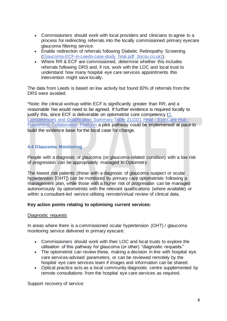- Commissioners should work with local providers and clinicians to agree to a process for redirecting referrals into the locally commissioned primary eyecare glaucoma filtering service.
- Enable redirection of referrals following Diabetic Retinopathy Screening [\(Glaucoma-ECF-in-Leeds-case-study\\_final.pdf \(locsu.co.uk\)\)](https://www.locsu.co.uk/wp-content/uploads/2020/11/Glaucoma-ECF-in-Leeds-case-study_final.pdf).
- Where RR & ECF are commissioned, determine whether this includes referrals following DRS and, if not, work with the LOC and local trust to understand how many hospital eye care services appointments this intervention might save locally.

The data from Leeds is based on low activity but found 82% of referrals from the DRS were avoided.

\*Note: the clinical workup within ECF is significantly greater than RR, and a reasonable fee would need to be agreed. If further evidence is required locally to justify this, since ECF is deliverable on optometrist core competency (2. [Competencies and Qualification Summary Table 211021 Final -](https://future.nhs.uk/NationalEyeCareHub/view?objectId=116447877) Eye Care Hub - [FutureNHS Collaboration Platform](https://future.nhs.uk/NationalEyeCareHub/view?objectId=116447877) a pilot pathway could be implemented at pace to build the evidence base for the local case for change.

#### <span id="page-7-0"></span>**4.4 Glaucoma Monitoring**

<span id="page-7-1"></span>People with a diagnosis of glaucoma (or glaucoma-related condition) with a low risk of progression can be appropriately managed in Optometry.

The lowest risk patients (those with a diagnosis of glaucoma suspect or ocular hypertension [OHT]) can be monitored by primary care optometrists following a management plan, while those with a higher risk of progression can be managed autonomously by optometrists with the relevant qualifications (where available) or within a consultant-led service utilising remote/virtual review of clinical data.

#### **Key action points relating to optimising current services:**

#### Diagnostic requests

In areas where there is a commissioned ocular hypertension (OHT) / glaucoma monitoring service delivered in primary eyecare:

- Commissioners should work with their LOC and local trusts to explore the utilisation of this pathway for glaucoma (or other) "diagnostic requests."
- The optometrist can review these, making a decision in line with hospital eye care services-advised parameters, or can be reviewed remotely by the hospital eye care services team if images and information can be shared.
- Optical practice acts as a local community diagnostic centre supplemented by remote consultations from the hospital eye care services as required.

Support recovery of service: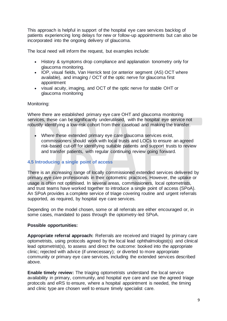This approach is helpful in support of the hospital eye care services backlog of patients experiencing long delays for new or follow-up appointments but can also be incorporated into the ongoing delivery of glaucoma.

The local need will inform the request, but examples include:

- History & symptoms drop compliance and applanation tonometry only for glaucoma monitoring.
- IOP, visual fields, Van Herrick test (or anterior segment (AS) OCT where available), and imaging / OCT of the optic nerve for glaucoma first appointment
- visual acuity, imaging, and OCT of the optic nerve for stable OHT or glaucoma monitoring

#### Monitoring:

Where there are established primary eye care OHT and glaucoma monitoring services, these can be significantly underutilised, with the hospital eye service not robustly identifying a low-risk cohort from their caseload and making the transfer.

Where these extended primary eye care glaucoma services exist, commissioners should work with local trusts and LOCs to ensure an agreed risk-based cut-off for identifying suitable patients and support trusts to review and transfer patients, with regular continuing review going forward.

#### **4.5 Introducing a single point of access**

There is an increasing range of locally commissioned extended services delivered by primary eye care professionals in their optometric practices. However, the uptake or usage is often not optimised. In several areas, commissioners, local optometrists, and trust teams have worked together to introduce a single point of access (SPoA). An SPoA provides a complete service of triage covering routine and urgent referrals supported, as required, by hospital eye care services.

Depending on the model chosen, some or all referrals are either encouraged or, in some cases, mandated to pass through the optometry-led SPoA.

#### **Possible opportunities:**

**Appropriate referral approach:** Referrals are received and triaged by primary care optometrists, using protocols agreed by the local lead ophthalmologist(s) and clinical lead optometrist(s), to assess and direct the outcome: booked into the appropriate clinic; rejected with advice (if unnecessary); or diverted to more appropriate community or primary eye care services, including the extended services described above.

**Enable timely review:** The triaging optometrists understand the local service availability in primary, community, and hospital eye care and use the agreed triage protocols and eRS to ensure, where a hospital appointment is needed, the timing and clinic type are chosen well to ensure timely specialist care.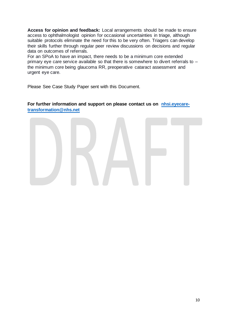**Access for opinion and feedback:** Local arrangements should be made to ensure access to ophthalmologist opinion for occasional uncertainties in triage, although suitable protocols eliminate the need for this to be very often. Triagers can develop their skills further through regular peer review discussions on decisions and regular data on outcomes of referrals.

For an SPoA to have an impact, there needs to be a minimum core extended primary eye care service available so that there is somewhere to divert referrals to – the minimum core being glaucoma RR, preoperative cataract assessment and urgent eye care.

Please See Case Study Paper sent with this Document.

#### <span id="page-9-0"></span>**For further information and support on please contact us on [nhsi.eyecare](mailto:nhsi.eyecare-transformation@nhs.net)[transformation@nhs.net](mailto:nhsi.eyecare-transformation@nhs.net)**